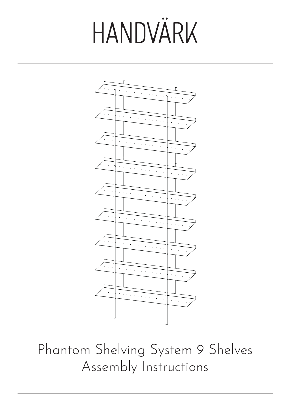

Phantom Shelving System 9 Shelves Assembly Instructions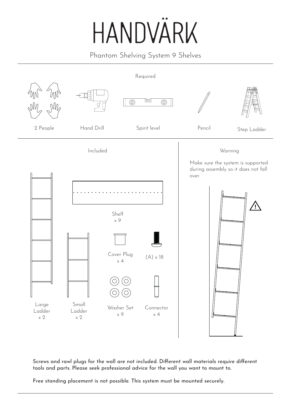Phantom Shelving System 9 Shelves



Screws and rawl plugs for the wall are not included. Different wall materials require different tools and parts. Please seek professional advice for the wall you want to mount to.

Free standing placement is not possible. This system must be mounted securely.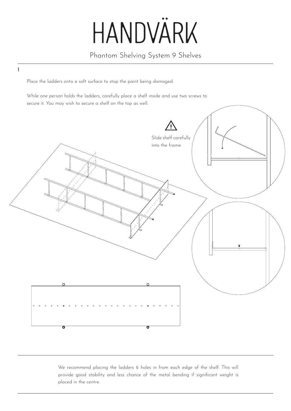#### Phantom Shelving System 9 Shelves

Place the ladders onto a soft surface to stop the paint being damaged.

1

While one person holds the ladders, carefully place a shelf inside and use two screws to secure it. You may wish to secure a shelf on the top as well.



We recommend placing the ladders 6 holes in from each edge of the shelf. This will provide good stability and less chance of the metal bending if significant weight is placed in the centre.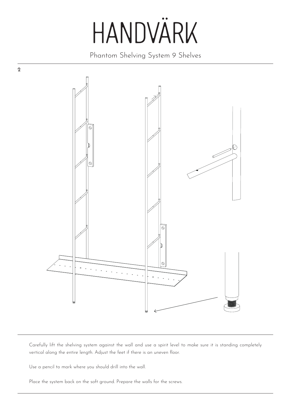Phantom Shelving System 9 Shelves



Carefully lift the shelving system against the wall and use a spirit level to make sure it is standing completely vertical along the entire length. Adjust the feet if there is an uneven floor.

Use a pencil to mark where you should drill into the wall.

2

Place the system back on the soft ground. Prepare the walls for the screws.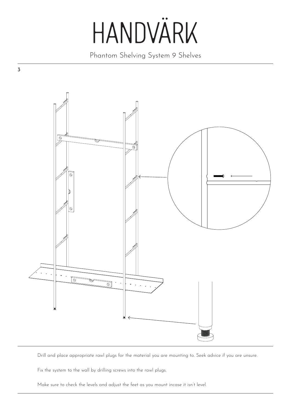Phantom Shelving System 9 Shelves



Drill and place appropriate rawl plugs for the material you are mounting to. Seek advice if you are unsure.

Fix the system to the wall by drilling screws into the rawl plugs.

Make sure to check the levels and adjust the feet as you mount incase it isn't level.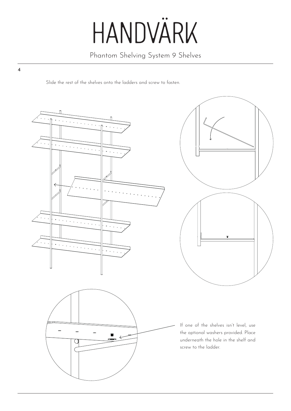Phantom Shelving System 9 Shelves

Slide the rest of the shelves onto the ladders and screw to fasten.

4

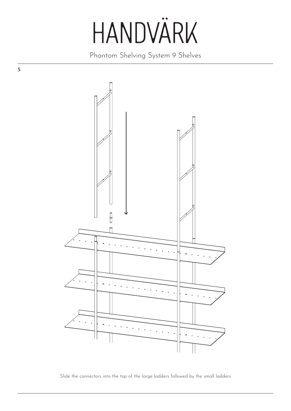Phantom Shelving System 9 Shelves

5



Slide the connectors into the top of the large ladders followed by the small ladders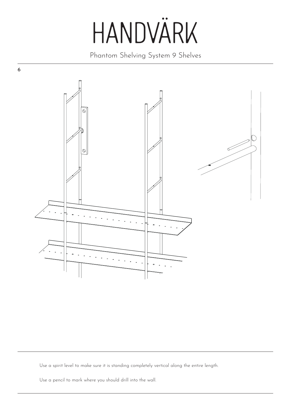Phantom Shelving System 9 Shelves



Use a spirit level to make sure it is standing completely vertical along the entire length.

Use a pencil to mark where you should drill into the wall.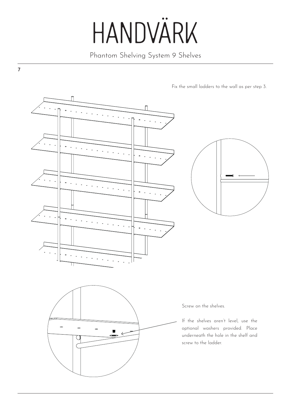Phantom Shelving System 9 Shelves

7

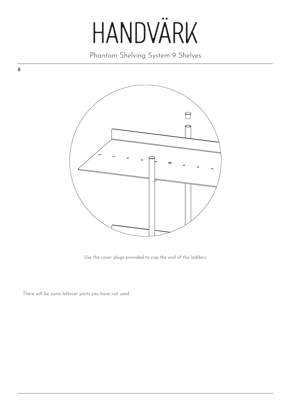Phantom Shelving System 9 Shelves



Use the cover plugs provided to cap the end of the ladders.

There will be some leftover parts you have not used.

8